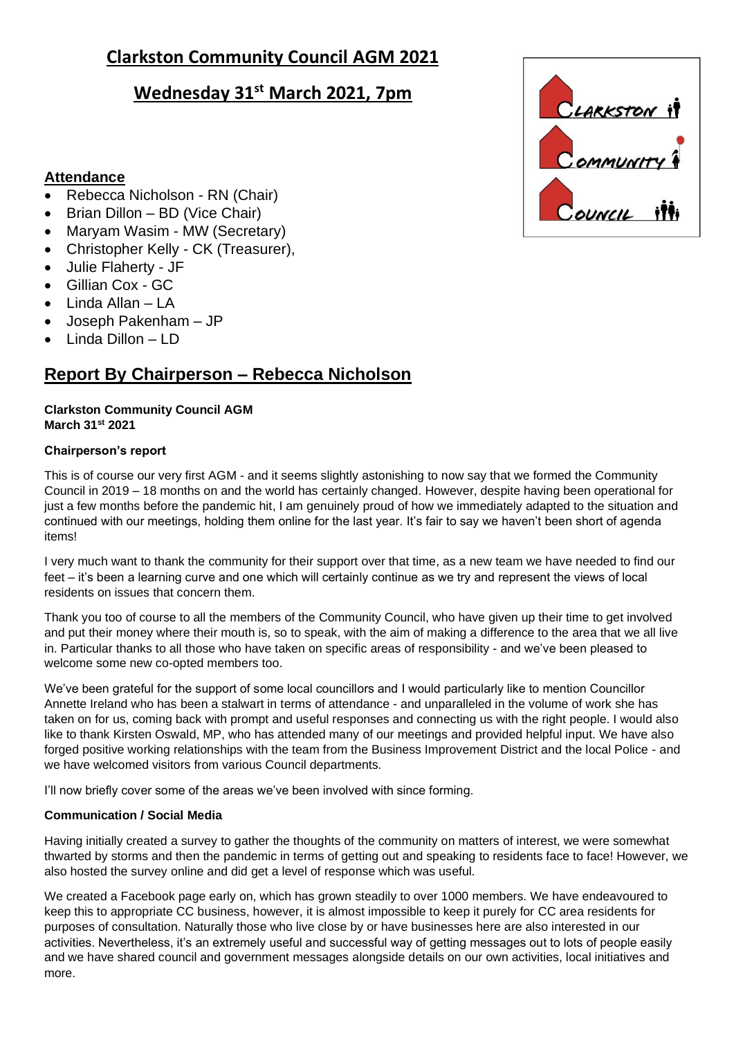# **Clarkston Community Council AGM 2021**

# **Wednesday 31st March 2021, 7pm**

### **Attendance**

- Rebecca Nicholson RN (Chair)
- Brian Dillon BD (Vice Chair)
- Maryam Wasim MW (Secretary)
- Christopher Kelly CK (Treasurer),
- Julie Flaherty JF
- Gillian Cox GC
- Linda Allan LA
- Joseph Pakenham JP
- Linda Dillon LD

# **Report By Chairperson – Rebecca Nicholson**

### **Clarkston Community Council AGM March 31st 2021**

### **Chairperson's report**

This is of course our very first AGM - and it seems slightly astonishing to now say that we formed the Community Council in 2019 – 18 months on and the world has certainly changed. However, despite having been operational for just a few months before the pandemic hit, I am genuinely proud of how we immediately adapted to the situation and continued with our meetings, holding them online for the last year. It's fair to say we haven't been short of agenda items!

I very much want to thank the community for their support over that time, as a new team we have needed to find our feet – it's been a learning curve and one which will certainly continue as we try and represent the views of local residents on issues that concern them.

Thank you too of course to all the members of the Community Council, who have given up their time to get involved and put their money where their mouth is, so to speak, with the aim of making a difference to the area that we all live in. Particular thanks to all those who have taken on specific areas of responsibility - and we've been pleased to welcome some new co-opted members too.

We've been grateful for the support of some local councillors and I would particularly like to mention Councillor Annette Ireland who has been a stalwart in terms of attendance - and unparalleled in the volume of work she has taken on for us, coming back with prompt and useful responses and connecting us with the right people. I would also like to thank Kirsten Oswald, MP, who has attended many of our meetings and provided helpful input. We have also forged positive working relationships with the team from the Business Improvement District and the local Police - and we have welcomed visitors from various Council departments.

I'll now briefly cover some of the areas we've been involved with since forming.

### **Communication / Social Media**

Having initially created a survey to gather the thoughts of the community on matters of interest, we were somewhat thwarted by storms and then the pandemic in terms of getting out and speaking to residents face to face! However, we also hosted the survey online and did get a level of response which was useful.

We created a Facebook page early on, which has grown steadily to over 1000 members. We have endeavoured to keep this to appropriate CC business, however, it is almost impossible to keep it purely for CC area residents for purposes of consultation. Naturally those who live close by or have businesses here are also interested in our activities. Nevertheless, it's an extremely useful and successful way of getting messages out to lots of people easily and we have shared council and government messages alongside details on our own activities, local initiatives and more.

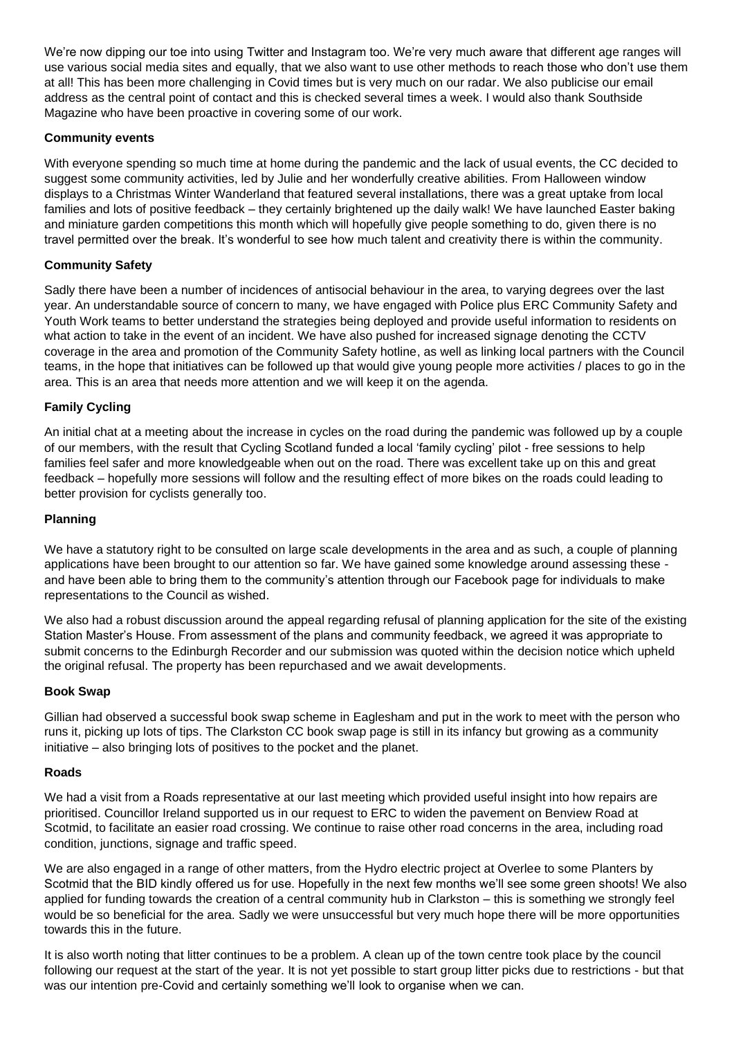We're now dipping our toe into using Twitter and Instagram too. We're very much aware that different age ranges will use various social media sites and equally, that we also want to use other methods to reach those who don't use them at all! This has been more challenging in Covid times but is very much on our radar. We also publicise our email address as the central point of contact and this is checked several times a week. I would also thank Southside Magazine who have been proactive in covering some of our work.

#### **Community events**

With everyone spending so much time at home during the pandemic and the lack of usual events, the CC decided to suggest some community activities, led by Julie and her wonderfully creative abilities. From Halloween window displays to a Christmas Winter Wanderland that featured several installations, there was a great uptake from local families and lots of positive feedback – they certainly brightened up the daily walk! We have launched Easter baking and miniature garden competitions this month which will hopefully give people something to do, given there is no travel permitted over the break. It's wonderful to see how much talent and creativity there is within the community.

### **Community Safety**

Sadly there have been a number of incidences of antisocial behaviour in the area, to varying degrees over the last year. An understandable source of concern to many, we have engaged with Police plus ERC Community Safety and Youth Work teams to better understand the strategies being deployed and provide useful information to residents on what action to take in the event of an incident. We have also pushed for increased signage denoting the CCTV coverage in the area and promotion of the Community Safety hotline, as well as linking local partners with the Council teams, in the hope that initiatives can be followed up that would give young people more activities / places to go in the area. This is an area that needs more attention and we will keep it on the agenda.

#### **Family Cycling**

An initial chat at a meeting about the increase in cycles on the road during the pandemic was followed up by a couple of our members, with the result that Cycling Scotland funded a local 'family cycling' pilot - free sessions to help families feel safer and more knowledgeable when out on the road. There was excellent take up on this and great feedback – hopefully more sessions will follow and the resulting effect of more bikes on the roads could leading to better provision for cyclists generally too.

#### **Planning**

We have a statutory right to be consulted on large scale developments in the area and as such, a couple of planning applications have been brought to our attention so far. We have gained some knowledge around assessing these and have been able to bring them to the community's attention through our Facebook page for individuals to make representations to the Council as wished.

We also had a robust discussion around the appeal regarding refusal of planning application for the site of the existing Station Master's House. From assessment of the plans and community feedback, we agreed it was appropriate to submit concerns to the Edinburgh Recorder and our submission was quoted within the decision notice which upheld the original refusal. The property has been repurchased and we await developments.

#### **Book Swap**

Gillian had observed a successful book swap scheme in Eaglesham and put in the work to meet with the person who runs it, picking up lots of tips. The Clarkston CC book swap page is still in its infancy but growing as a community initiative – also bringing lots of positives to the pocket and the planet.

#### **Roads**

We had a visit from a Roads representative at our last meeting which provided useful insight into how repairs are prioritised. Councillor Ireland supported us in our request to ERC to widen the pavement on Benview Road at Scotmid, to facilitate an easier road crossing. We continue to raise other road concerns in the area, including road condition, junctions, signage and traffic speed.

We are also engaged in a range of other matters, from the Hydro electric project at Overlee to some Planters by Scotmid that the BID kindly offered us for use. Hopefully in the next few months we'll see some green shoots! We also applied for funding towards the creation of a central community hub in Clarkston – this is something we strongly feel would be so beneficial for the area. Sadly we were unsuccessful but very much hope there will be more opportunities towards this in the future.

It is also worth noting that litter continues to be a problem. A clean up of the town centre took place by the council following our request at the start of the year. It is not yet possible to start group litter picks due to restrictions - but that was our intention pre-Covid and certainly something we'll look to organise when we can.